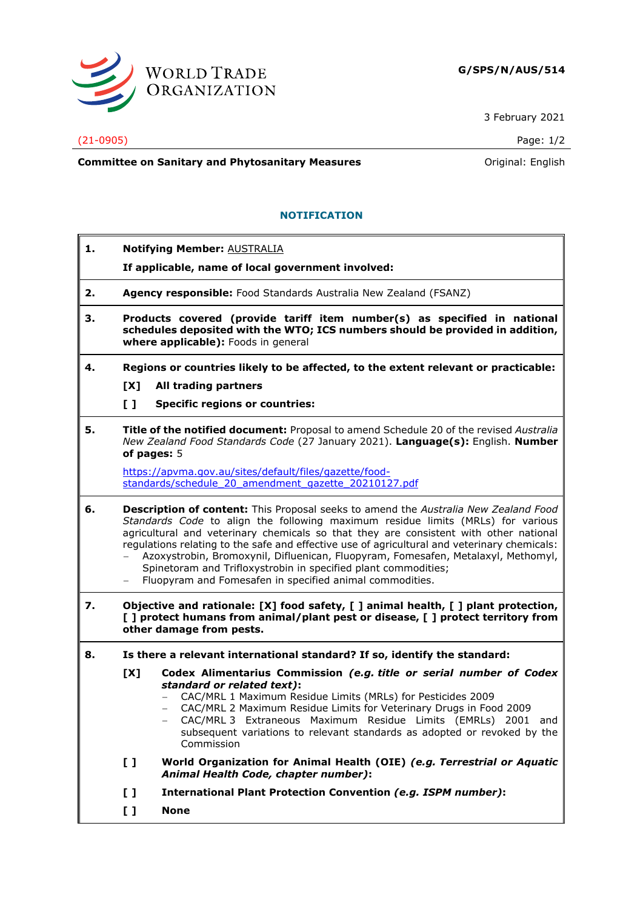

3 February 2021

## (21-0905) Page: 1/2

**Committee on Sanitary and Phytosanitary Measures Committee on Sanitary and Phytosanitary Measures Committee on Sanitary and Phytosanitary Measures** 

## **NOTIFICATION**

|                                                                                                                                                                                                        | <b>Notifying Member: AUSTRALIA</b>                                                                                                                                                                                                                                                                                                                                                                                                                                                                                                                                                 |
|--------------------------------------------------------------------------------------------------------------------------------------------------------------------------------------------------------|------------------------------------------------------------------------------------------------------------------------------------------------------------------------------------------------------------------------------------------------------------------------------------------------------------------------------------------------------------------------------------------------------------------------------------------------------------------------------------------------------------------------------------------------------------------------------------|
|                                                                                                                                                                                                        | If applicable, name of local government involved:                                                                                                                                                                                                                                                                                                                                                                                                                                                                                                                                  |
|                                                                                                                                                                                                        | Agency responsible: Food Standards Australia New Zealand (FSANZ)                                                                                                                                                                                                                                                                                                                                                                                                                                                                                                                   |
| Products covered (provide tariff item number(s) as specified in national<br>з.<br>schedules deposited with the WTO; ICS numbers should be provided in addition,<br>where applicable): Foods in general |                                                                                                                                                                                                                                                                                                                                                                                                                                                                                                                                                                                    |
|                                                                                                                                                                                                        | Regions or countries likely to be affected, to the extent relevant or practicable:                                                                                                                                                                                                                                                                                                                                                                                                                                                                                                 |
| [X]                                                                                                                                                                                                    | All trading partners                                                                                                                                                                                                                                                                                                                                                                                                                                                                                                                                                               |
| $\mathbf{L}$                                                                                                                                                                                           | <b>Specific regions or countries:</b>                                                                                                                                                                                                                                                                                                                                                                                                                                                                                                                                              |
| of pages: 5                                                                                                                                                                                            | Title of the notified document: Proposal to amend Schedule 20 of the revised Australia<br>New Zealand Food Standards Code (27 January 2021). Language(s): English. Number                                                                                                                                                                                                                                                                                                                                                                                                          |
|                                                                                                                                                                                                        | https://apvma.gov.au/sites/default/files/gazette/food-<br>standards/schedule 20 amendment gazette 20210127.pdf                                                                                                                                                                                                                                                                                                                                                                                                                                                                     |
|                                                                                                                                                                                                        | Description of content: This Proposal seeks to amend the Australia New Zealand Food<br>Standards Code to align the following maximum residue limits (MRLs) for various<br>agricultural and veterinary chemicals so that they are consistent with other national<br>regulations relating to the safe and effective use of agricultural and veterinary chemicals:<br>Azoxystrobin, Bromoxynil, Difluenican, Fluopyram, Fomesafen, Metalaxyl, Methomyl,<br>Spinetoram and Trifloxystrobin in specified plant commodities;<br>Fluopyram and Fomesafen in specified animal commodities. |
|                                                                                                                                                                                                        | Objective and rationale: [X] food safety, [] animal health, [] plant protection,<br>[ ] protect humans from animal/plant pest or disease, [ ] protect territory from<br>other damage from pests.                                                                                                                                                                                                                                                                                                                                                                                   |
| Is there a relevant international standard? If so, identify the standard:                                                                                                                              |                                                                                                                                                                                                                                                                                                                                                                                                                                                                                                                                                                                    |
| [X]                                                                                                                                                                                                    | Codex Alimentarius Commission (e.g. title or serial number of Codex<br>standard or related text):<br>CAC/MRL 1 Maximum Residue Limits (MRLs) for Pesticides 2009<br>CAC/MRL 2 Maximum Residue Limits for Veterinary Drugs in Food 2009<br>CAC/MRL 3 Extraneous Maximum Residue Limits (EMRLs) 2001 and<br>subsequent variations to relevant standards as adopted or revoked by the<br>Commission                                                                                                                                                                                   |
| $\mathbf{L}$                                                                                                                                                                                           | World Organization for Animal Health (OIE) (e.g. Terrestrial or Aquatic<br>Animal Health Code, chapter number):                                                                                                                                                                                                                                                                                                                                                                                                                                                                    |
| $\mathbf{L}$                                                                                                                                                                                           | <b>International Plant Protection Convention (e.g. ISPM number):</b>                                                                                                                                                                                                                                                                                                                                                                                                                                                                                                               |
| $\mathbf{L}$                                                                                                                                                                                           | <b>None</b>                                                                                                                                                                                                                                                                                                                                                                                                                                                                                                                                                                        |
|                                                                                                                                                                                                        |                                                                                                                                                                                                                                                                                                                                                                                                                                                                                                                                                                                    |